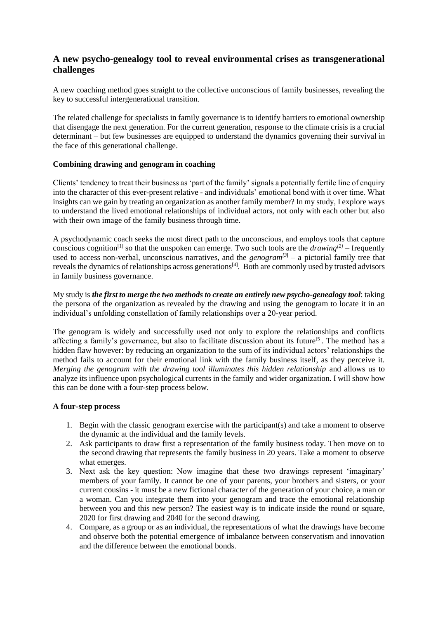# **A new psycho-genealogy tool to reveal environmental crises as transgenerational challenges**

A new coaching method goes straight to the collective unconscious of family businesses, revealing the key to successful intergenerational transition.

The related challenge for specialists in family governance is to identify barriers to emotional ownership that disengage the next generation. For the current generation, response to the climate crisis is a crucial determinant – but few businesses are equipped to understand the dynamics governing their survival in the face of this generational challenge.

## **Combining drawing and genogram in coaching**

Clients' tendency to treat their business as 'part of the family' signals a potentially fertile line of enquiry into the character of this ever-present relative - and individuals' emotional bond with it over time. What insights can we gain by treating an organization as another family member? In my study, I explore ways to understand the lived emotional relationships of individual actors, not only with each other but also with their own image of the family business through time.

A psychodynamic coach seeks the most direct path to the unconscious, and employs tools that capture conscious cognition<sup>[1]</sup> so that the unspoken can emerge. Two such tools are the *drawing*<sup>[2]</sup> – frequently used to access non-verbal, unconscious narratives, and the *genogram*<sup>[3]</sup> – a pictorial family tree that reveals the dynamics of relationships across generations<sup>[4]</sup>. Both are commonly used by trusted advisors in family business governance.

My study is *the first to merge the two methods to create an entirely new psycho-genealogy tool*: taking the persona of the organization as revealed by the drawing and using the genogram to locate it in an individual's unfolding constellation of family relationships over a 20-year period.

The genogram is widely and successfully used not only to explore the relationships and conflicts affecting a family's governance, but also to facilitate discussion about its future<sup>[5]</sup>. The method has a hidden flaw however: by reducing an organization to the sum of its individual actors' relationships the method fails to account for their emotional link with the family business itself, as they perceive it. *Merging the genogram with the drawing tool illuminates this hidden relationship* and allows us to analyze its influence upon psychological currents in the family and wider organization. I will show how this can be done with a four-step process below.

## **A four-step process**

- 1. Begin with the classic genogram exercise with the participant(s) and take a moment to observe the dynamic at the individual and the family levels.
- 2. Ask participants to draw first a representation of the family business today. Then move on to the second drawing that represents the family business in 20 years. Take a moment to observe what emerges.
- 3. Next ask the key question: Now imagine that these two drawings represent 'imaginary' members of your family. It cannot be one of your parents, your brothers and sisters, or your current cousins - it must be a new fictional character of the generation of your choice, a man or a woman. Can you integrate them into your genogram and trace the emotional relationship between you and this new person? The easiest way is to indicate inside the round or square, 2020 for first drawing and 2040 for the second drawing.
- 4. Compare, as a group or as an individual, the representations of what the drawings have become and observe both the potential emergence of imbalance between conservatism and innovation and the difference between the emotional bonds.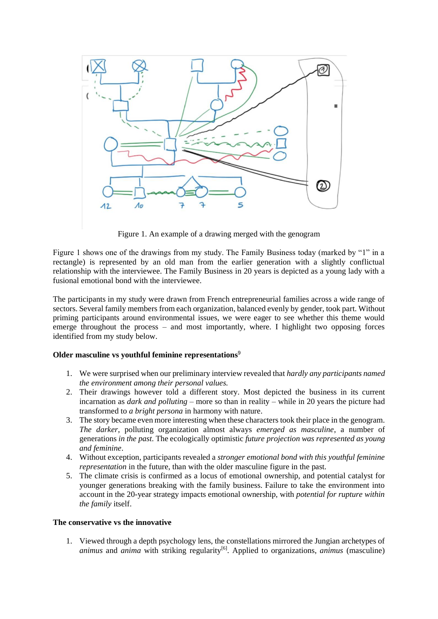

Figure 1. An example of a drawing merged with the genogram

Figure 1 shows one of the drawings from my study. The Family Business today (marked by "1" in a rectangle) is represented by an old man from the earlier generation with a slightly conflictual relationship with the interviewee. The Family Business in 20 years is depicted as a young lady with a fusional emotional bond with the interviewee.

The participants in my study were drawn from French entrepreneurial families across a wide range of sectors. Several family members from each organization, balanced evenly by gender, took part. Without priming participants around environmental issues, we were eager to see whether this theme would emerge throughout the process – and most importantly, where. I highlight two opposing forces identified from my study below.

## **Older masculine vs youthful feminine representations**<sup>9</sup>

- 1. We were surprised when our preliminary interview revealed that *hardly any participants named the environment among their personal values.*
- 2. Their drawings however told a different story. Most depicted the business in its current incarnation as *dark and polluting* – more so than in reality – while in 20 years the picture had transformed to *a bright persona* in harmony with nature.
- 3. The story became even more interesting when these characters took their place in the genogram. *The darker*, polluting organization almost always *emerged as masculine*, a number of generations *in the past*. The ecologically optimistic *future projection was represented as young and feminine*.
- 4. Without exception, participants revealed a *stronger emotional bond with this youthful feminine representation* in the future, than with the older masculine figure in the past.
- 5. The climate crisis is confirmed as a locus of emotional ownership, and potential catalyst for younger generations breaking with the family business. Failure to take the environment into account in the 20-year strategy impacts emotional ownership, with *potential for rupture within the family* itself.

#### **The conservative vs the innovative**

1. Viewed through a depth psychology lens, the constellations mirrored the Jungian archetypes of *animus* and *anima* with striking regularity<sup>[6]</sup>. Applied to organizations, *animus* (masculine)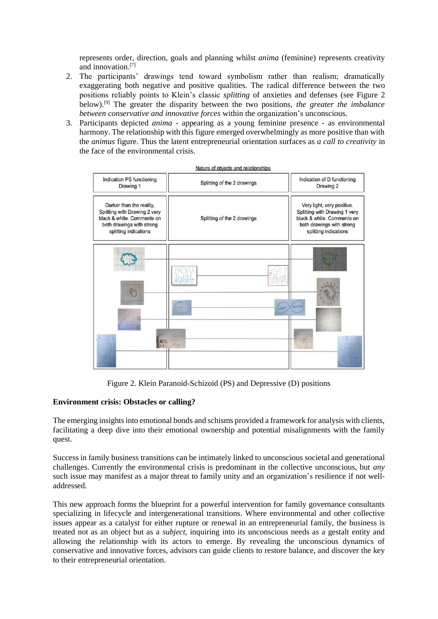represents order, direction, goals and planning whilst *anima* (feminine) represents creativity and innovation.<sup>[7]</sup>

- 2. The participants' drawings tend toward symbolism rather than realism; dramatically exaggerating both negative and positive qualities. The radical difference between the two positions reliably points to Klein's classic *splitting* of anxieties and defenses (see Figure 2 below).[9] The greater the disparity between the two positions, *the greater the imbalance between conservative and innovative forces* within the organization's unconscious.
- 3. Participants depicted *anima* appearing as a young feminine presence as environmental harmony. The relationship with this figure emerged overwhelmingly as more positive than with the *animus* figure. Thus the latent entrepreneurial orientation surfaces as *a call to creativity* in the face of the environmental crisis.



Figure 2. Klein Paranoid-Schizoid (PS) and Depressive (D) positions

## **Environment crisis: Obstacles or calling?**

The emerging insights into emotional bonds and schisms provided a framework for analysis with clients, facilitating a deep dive into their emotional ownership and potential misalignments with the family quest.

Success in family business transitions can be intimately linked to unconscious societal and generational challenges. Currently the environmental crisis is predominant in the collective unconscious, but *any* such issue may manifest as a major threat to family unity and an organization's resilience if not welladdressed.

This new approach forms the blueprint for a powerful intervention for family governance consultants specializing in lifecycle and intergenerational transitions. Where environmental and other collective issues appear as a catalyst for either rupture or renewal in an entrepreneurial family, the business is treated not as an object but as a *subject,* inquiring into its unconscious needs as a gestalt entity and allowing the relationship with its actors to emerge. By revealing the unconscious dynamics of conservative and innovative forces, advisors can guide clients to restore balance, and discover the key to their entrepreneurial orientation.